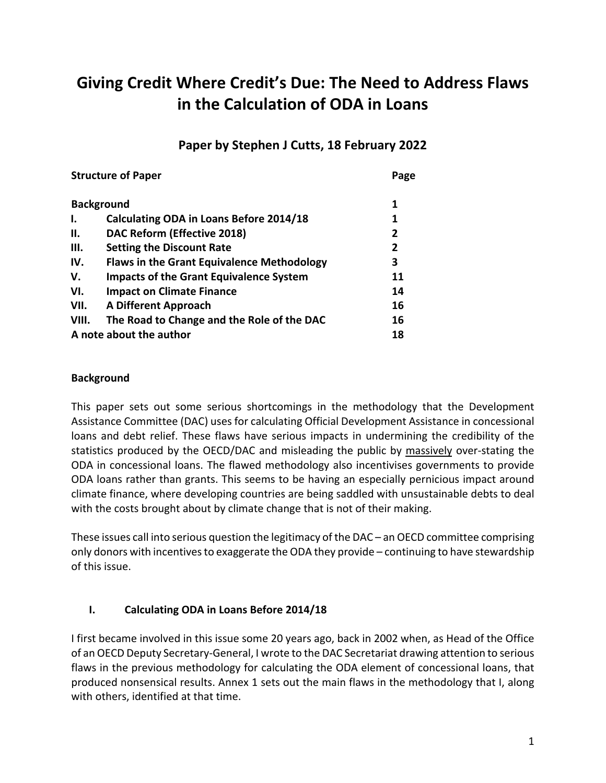# **Giving Credit Where Credit's Due: The Need to Address Flaws in the Calculation of ODA in Loans**

# **Paper by Stephen J Cutts, 18 February 2022**

| <b>Structure of Paper</b> | Page                                              |    |
|---------------------------|---------------------------------------------------|----|
| <b>Background</b>         | 1                                                 |    |
| ı.                        | Calculating ODA in Loans Before 2014/18           | 1  |
| П.                        | DAC Reform (Effective 2018)                       | 2  |
| Ш.                        | <b>Setting the Discount Rate</b>                  | 2  |
| IV.                       | <b>Flaws in the Grant Equivalence Methodology</b> | 3  |
| V.                        | <b>Impacts of the Grant Equivalence System</b>    | 11 |
| VI.                       | <b>Impact on Climate Finance</b>                  | 14 |
| VII.                      | <b>A Different Approach</b>                       | 16 |
| VIII.                     | The Road to Change and the Role of the DAC        | 16 |
| A note about the author   | 18                                                |    |

#### **Background**

This paper sets out some serious shortcomings in the methodology that the Development Assistance Committee (DAC) uses for calculating Official Development Assistance in concessional loans and debt relief. These flaws have serious impacts in undermining the credibility of the statistics produced by the OECD/DAC and misleading the public by massively over-stating the ODA in concessional loans. The flawed methodology also incentivises governments to provide ODA loans rather than grants. This seems to be having an especially pernicious impact around climate finance, where developing countries are being saddled with unsustainable debts to deal with the costs brought about by climate change that is not of their making.

These issues call into serious question the legitimacy of the DAC – an OECD committee comprising only donors with incentives to exaggerate the ODA they provide – continuing to have stewardship of this issue.

## **I. Calculating ODA in Loans Before 2014/18**

I first became involved in this issue some 20 years ago, back in 2002 when, as Head of the Office of an OECD Deputy Secretary-General, I wrote to the DAC Secretariat drawing attention to serious flaws in the previous methodology for calculating the ODA element of concessional loans, that produced nonsensical results. Annex 1 sets out the main flaws in the methodology that I, along with others, identified at that time.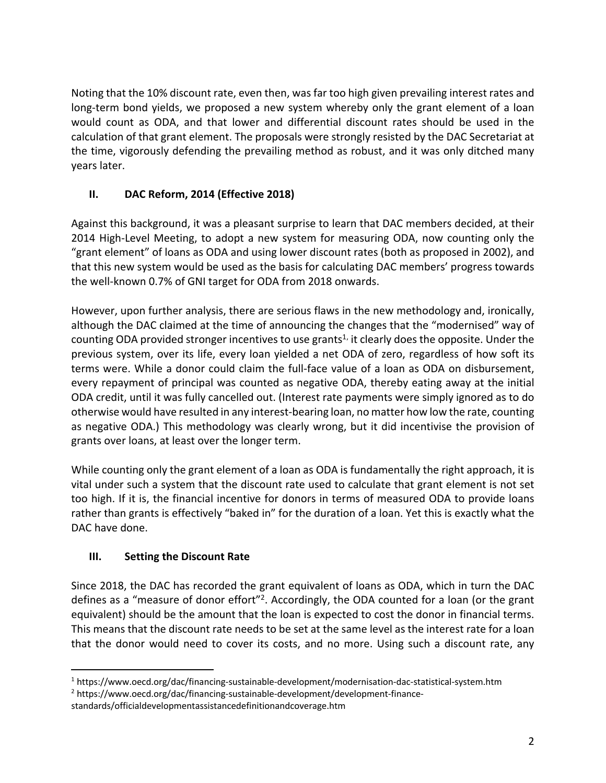Noting that the 10% discount rate, even then, was far too high given prevailing interest rates and long-term bond yields, we proposed a new system whereby only the grant element of a loan would count as ODA, and that lower and differential discount rates should be used in the calculation of that grant element. The proposals were strongly resisted by the DAC Secretariat at the time, vigorously defending the prevailing method as robust, and it was only ditched many years later.

## **II. DAC Reform, 2014 (Effective 2018)**

Against this background, it was a pleasant surprise to learn that DAC members decided, at their 2014 High-Level Meeting, to adopt a new system for measuring ODA, now counting only the "grant element" of loans as ODA and using lower discount rates (both as proposed in 2002), and that this new system would be used as the basis for calculating DAC members' progress towards the well-known 0.7% of GNI target for ODA from 2018 onwards.

However, upon further analysis, there are serious flaws in the new methodology and, ironically, although the DAC claimed at the time of announcing the changes that the "modernised" way of counting ODA provided stronger incentives to use grants<sup>1</sup> it clearly does the opposite. Under the previous system, over its life, every loan yielded a net ODA of zero, regardless of how soft its terms were. While a donor could claim the full-face value of a loan as ODA on disbursement, every repayment of principal was counted as negative ODA, thereby eating away at the initial ODA credit, until it was fully cancelled out. (Interest rate payments were simply ignored as to do otherwise would have resulted in any interest-bearing loan, no matter how low the rate, counting as negative ODA.) This methodology was clearly wrong, but it did incentivise the provision of grants over loans, at least over the longer term.

While counting only the grant element of a loan as ODA is fundamentally the right approach, it is vital under such a system that the discount rate used to calculate that grant element is not set too high. If it is, the financial incentive for donors in terms of measured ODA to provide loans rather than grants is effectively "baked in" for the duration of a loan. Yet this is exactly what the DAC have done.

## **III. Setting the Discount Rate**

Since 2018, the DAC has recorded the grant equivalent of loans as ODA, which in turn the DAC defines as a "measure of donor effort"<sup>2</sup>. Accordingly, the ODA counted for a loan (or the grant equivalent) should be the amount that the loan is expected to cost the donor in financial terms. This means that the discount rate needs to be set at the same level as the interest rate for a loan that the donor would need to cover its costs, and no more. Using such a discount rate, any

<sup>1</sup> https://www.oecd.org/dac/financing-sustainable-development/modernisation-dac-statistical-system.htm

<sup>2</sup> https://www.oecd.org/dac/financing-sustainable-development/development-finance-

standards/officialdevelopmentassistancedefinitionandcoverage.htm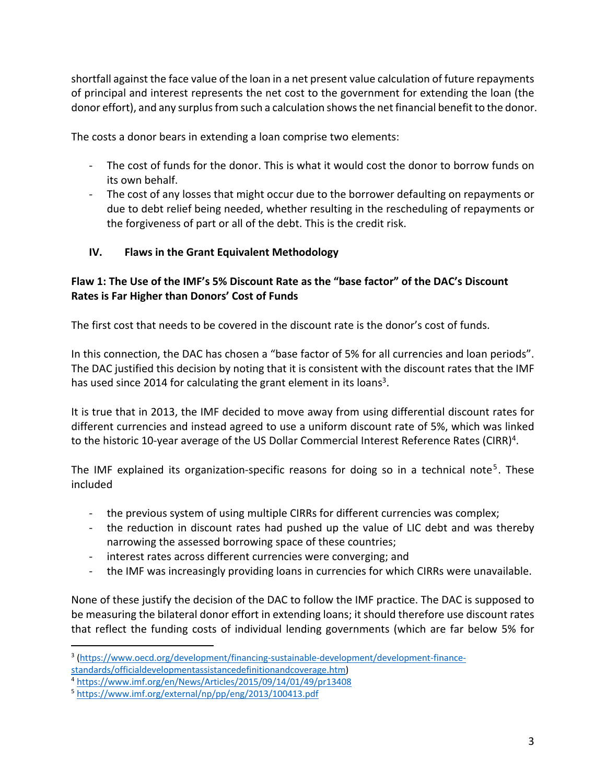shortfall against the face value of the loan in a net present value calculation of future repayments of principal and interest represents the net cost to the government for extending the loan (the donor effort), and any surplus from such a calculation shows the net financial benefit to the donor.

The costs a donor bears in extending a loan comprise two elements:

- The cost of funds for the donor. This is what it would cost the donor to borrow funds on its own behalf.
- The cost of any losses that might occur due to the borrower defaulting on repayments or due to debt relief being needed, whether resulting in the rescheduling of repayments or the forgiveness of part or all of the debt. This is the credit risk.

#### **IV. Flaws in the Grant Equivalent Methodology**

### **Flaw 1: The Use of the IMF's 5% Discount Rate as the "base factor" of the DAC's Discount Rates is Far Higher than Donors' Cost of Funds**

The first cost that needs to be covered in the discount rate is the donor's cost of funds.

In this connection, the DAC has chosen a "base factor of 5% for all currencies and loan periods". The DAC justified this decision by noting that it is consistent with the discount rates that the IMF has used since 2014 for calculating the grant element in its loans<sup>3</sup>.

It is true that in 2013, the IMF decided to move away from using differential discount rates for different currencies and instead agreed to use a uniform discount rate of 5%, which was linked to the historic 10-year average of the US Dollar Commercial Interest Reference Rates (CIRR)<sup>4</sup>.

The IMF explained its organization-specific reasons for doing so in a technical note<sup>5</sup>. These included

- the previous system of using multiple CIRRs for different currencies was complex;
- the reduction in discount rates had pushed up the value of LIC debt and was thereby narrowing the assessed borrowing space of these countries;
- interest rates across different currencies were converging; and
- the IMF was increasingly providing loans in currencies for which CIRRs were unavailable.

None of these justify the decision of the DAC to follow the IMF practice. The DAC is supposed to be measuring the bilateral donor effort in extending loans; it should therefore use discount rates that reflect the funding costs of individual lending governments (which are far below 5% for

<sup>3</sup> (https://www.oecd.org/development/financing-sustainable-development/development-finance-

standards/officialdevelopmentassistancedefinitionandcoverage.htm)

<sup>4</sup> https://www.imf.org/en/News/Articles/2015/09/14/01/49/pr13408

<sup>5</sup> https://www.imf.org/external/np/pp/eng/2013/100413.pdf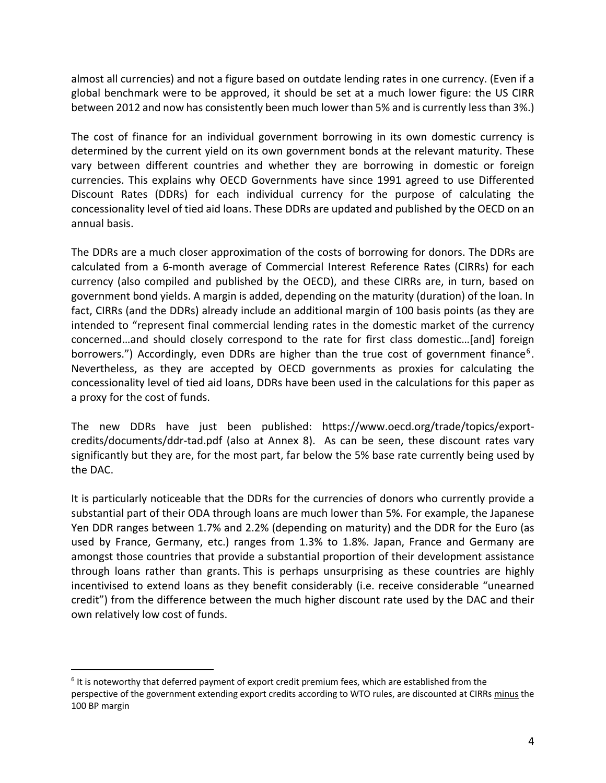almost all currencies) and not a figure based on outdate lending rates in one currency. (Even if a global benchmark were to be approved, it should be set at a much lower figure: the US CIRR between 2012 and now has consistently been much lower than 5% and is currently less than 3%.)

The cost of finance for an individual government borrowing in its own domestic currency is determined by the current yield on its own government bonds at the relevant maturity. These vary between different countries and whether they are borrowing in domestic or foreign currencies. This explains why OECD Governments have since 1991 agreed to use Differented Discount Rates (DDRs) for each individual currency for the purpose of calculating the concessionality level of tied aid loans. These DDRs are updated and published by the OECD on an annual basis.

The DDRs are a much closer approximation of the costs of borrowing for donors. The DDRs are calculated from a 6-month average of Commercial Interest Reference Rates (CIRRs) for each currency (also compiled and published by the OECD), and these CIRRs are, in turn, based on government bond yields. A margin is added, depending on the maturity (duration) of the loan. In fact, CIRRs (and the DDRs) already include an additional margin of 100 basis points (as they are intended to "represent final commercial lending rates in the domestic market of the currency concerned…and should closely correspond to the rate for first class domestic…[and] foreign borrowers.") Accordingly, even DDRs are higher than the true cost of government finance<sup>6</sup>. Nevertheless, as they are accepted by OECD governments as proxies for calculating the concessionality level of tied aid loans, DDRs have been used in the calculations for this paper as a proxy for the cost of funds.

The new DDRs have just been published: https://www.oecd.org/trade/topics/exportcredits/documents/ddr-tad.pdf (also at Annex 8). As can be seen, these discount rates vary significantly but they are, for the most part, far below the 5% base rate currently being used by the DAC.

It is particularly noticeable that the DDRs for the currencies of donors who currently provide a substantial part of their ODA through loans are much lower than 5%. For example, the Japanese Yen DDR ranges between 1.7% and 2.2% (depending on maturity) and the DDR for the Euro (as used by France, Germany, etc.) ranges from 1.3% to 1.8%. Japan, France and Germany are amongst those countries that provide a substantial proportion of their development assistance through loans rather than grants. This is perhaps unsurprising as these countries are highly incentivised to extend loans as they benefit considerably (i.e. receive considerable "unearned credit") from the difference between the much higher discount rate used by the DAC and their own relatively low cost of funds.

 $6$  It is noteworthy that deferred payment of export credit premium fees, which are established from the perspective of the government extending export credits according to WTO rules, are discounted at CIRRs minus the 100 BP margin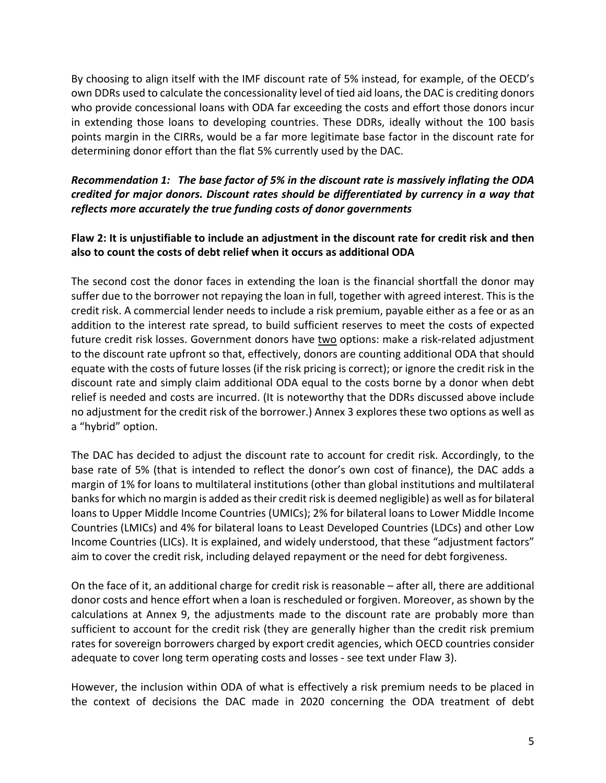By choosing to align itself with the IMF discount rate of 5% instead, for example, of the OECD's own DDRs used to calculate the concessionality level of tied aid loans, the DAC is crediting donors who provide concessional loans with ODA far exceeding the costs and effort those donors incur in extending those loans to developing countries. These DDRs, ideally without the 100 basis points margin in the CIRRs, would be a far more legitimate base factor in the discount rate for determining donor effort than the flat 5% currently used by the DAC.

#### *Recommendation 1: The base factor of 5% in the discount rate is massively inflating the ODA credited for major donors. Discount rates should be differentiated by currency in a way that reflects more accurately the true funding costs of donor governments*

#### **Flaw 2: It is unjustifiable to include an adjustment in the discount rate for credit risk and then also to count the costs of debt relief when it occurs as additional ODA**

The second cost the donor faces in extending the loan is the financial shortfall the donor may suffer due to the borrower not repaying the loan in full, together with agreed interest. This is the credit risk. A commercial lender needs to include a risk premium, payable either as a fee or as an addition to the interest rate spread, to build sufficient reserves to meet the costs of expected future credit risk losses. Government donors have two options: make a risk-related adjustment to the discount rate upfront so that, effectively, donors are counting additional ODA that should equate with the costs of future losses (if the risk pricing is correct); or ignore the credit risk in the discount rate and simply claim additional ODA equal to the costs borne by a donor when debt relief is needed and costs are incurred. (It is noteworthy that the DDRs discussed above include no adjustment for the credit risk of the borrower.) Annex 3 explores these two options as well as a "hybrid" option.

The DAC has decided to adjust the discount rate to account for credit risk. Accordingly, to the base rate of 5% (that is intended to reflect the donor's own cost of finance), the DAC adds a margin of 1% for loans to multilateral institutions (other than global institutions and multilateral banks for which no margin is added as their credit risk is deemed negligible) as well as for bilateral loans to Upper Middle Income Countries (UMICs); 2% for bilateral loans to Lower Middle Income Countries (LMICs) and 4% for bilateral loans to Least Developed Countries (LDCs) and other Low Income Countries (LICs). It is explained, and widely understood, that these "adjustment factors" aim to cover the credit risk, including delayed repayment or the need for debt forgiveness.

On the face of it, an additional charge for credit risk is reasonable – after all, there are additional donor costs and hence effort when a loan is rescheduled or forgiven. Moreover, as shown by the calculations at Annex 9, the adjustments made to the discount rate are probably more than sufficient to account for the credit risk (they are generally higher than the credit risk premium rates for sovereign borrowers charged by export credit agencies, which OECD countries consider adequate to cover long term operating costs and losses - see text under Flaw 3).

However, the inclusion within ODA of what is effectively a risk premium needs to be placed in the context of decisions the DAC made in 2020 concerning the ODA treatment of debt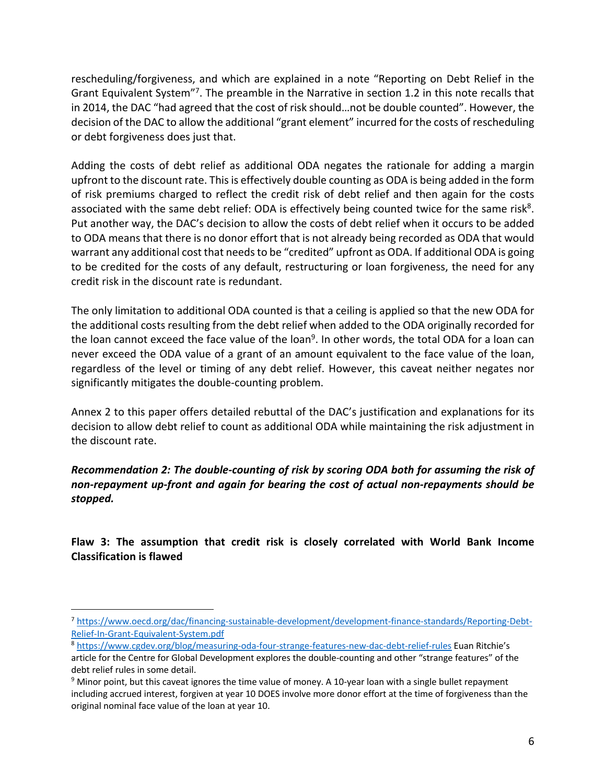rescheduling/forgiveness, and which are explained in a note "Reporting on Debt Relief in the Grant Equivalent System"7. The preamble in the Narrative in section 1.2 in this note recalls that in 2014, the DAC "had agreed that the cost of risk should…not be double counted". However, the decision of the DAC to allow the additional "grant element" incurred for the costs of rescheduling or debt forgiveness does just that.

Adding the costs of debt relief as additional ODA negates the rationale for adding a margin upfront to the discount rate. This is effectively double counting as ODA is being added in the form of risk premiums charged to reflect the credit risk of debt relief and then again for the costs associated with the same debt relief: ODA is effectively being counted twice for the same risk $8$ . Put another way, the DAC's decision to allow the costs of debt relief when it occurs to be added to ODA means that there is no donor effort that is not already being recorded as ODA that would warrant any additional cost that needs to be "credited" upfront as ODA. If additional ODA is going to be credited for the costs of any default, restructuring or loan forgiveness, the need for any credit risk in the discount rate is redundant.

The only limitation to additional ODA counted is that a ceiling is applied so that the new ODA for the additional costs resulting from the debt relief when added to the ODA originally recorded for the loan cannot exceed the face value of the loan<sup>9</sup>. In other words, the total ODA for a loan can never exceed the ODA value of a grant of an amount equivalent to the face value of the loan, regardless of the level or timing of any debt relief. However, this caveat neither negates nor significantly mitigates the double-counting problem.

Annex 2 to this paper offers detailed rebuttal of the DAC's justification and explanations for its decision to allow debt relief to count as additional ODA while maintaining the risk adjustment in the discount rate.

*Recommendation 2: The double-counting of risk by scoring ODA both for assuming the risk of non-repayment up-front and again for bearing the cost of actual non-repayments should be stopped.*

**Flaw 3: The assumption that credit risk is closely correlated with World Bank Income Classification is flawed**

<sup>7</sup> https://www.oecd.org/dac/financing-sustainable-development/development-finance-standards/Reporting-Debt-Relief-In-Grant-Equivalent-System.pdf

<sup>8</sup> https://www.cgdev.org/blog/measuring-oda-four-strange-features-new-dac-debt-relief-rules Euan Ritchie's article for the Centre for Global Development explores the double-counting and other "strange features" of the debt relief rules in some detail.

<sup>&</sup>lt;sup>9</sup> Minor point, but this caveat ignores the time value of money. A 10-year loan with a single bullet repayment including accrued interest, forgiven at year 10 DOES involve more donor effort at the time of forgiveness than the original nominal face value of the loan at year 10.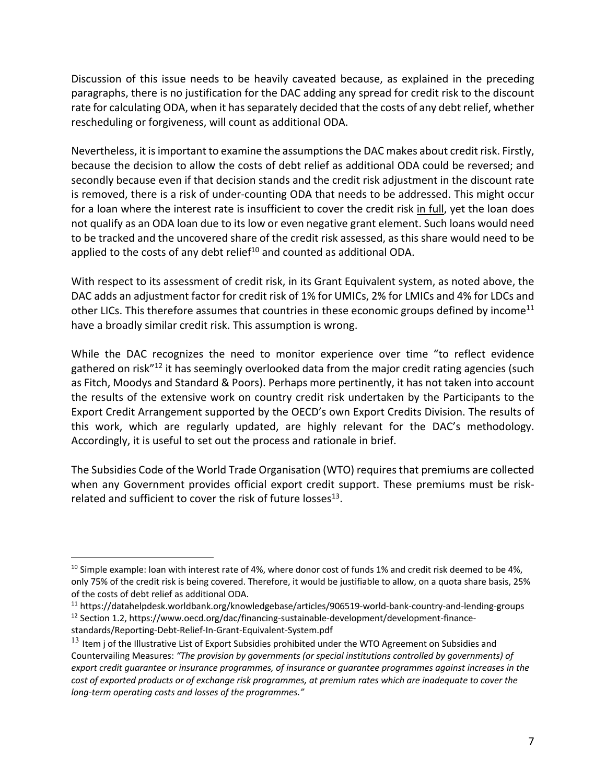Discussion of this issue needs to be heavily caveated because, as explained in the preceding paragraphs, there is no justification for the DAC adding any spread for credit risk to the discount rate for calculating ODA, when it has separately decided that the costs of any debt relief, whether rescheduling or forgiveness, will count as additional ODA.

Nevertheless, it is important to examine the assumptions the DAC makes about credit risk. Firstly, because the decision to allow the costs of debt relief as additional ODA could be reversed; and secondly because even if that decision stands and the credit risk adjustment in the discount rate is removed, there is a risk of under-counting ODA that needs to be addressed. This might occur for a loan where the interest rate is insufficient to cover the credit risk in full, yet the loan does not qualify as an ODA loan due to its low or even negative grant element. Such loans would need to be tracked and the uncovered share of the credit risk assessed, as this share would need to be applied to the costs of any debt relief $10$  and counted as additional ODA.

With respect to its assessment of credit risk, in its Grant Equivalent system, as noted above, the DAC adds an adjustment factor for credit risk of 1% for UMICs, 2% for LMICs and 4% for LDCs and other LICs. This therefore assumes that countries in these economic groups defined by income<sup>11</sup> have a broadly similar credit risk. This assumption is wrong.

While the DAC recognizes the need to monitor experience over time "to reflect evidence gathered on risk<sup>"12</sup> it has seemingly overlooked data from the major credit rating agencies (such as Fitch, Moodys and Standard & Poors). Perhaps more pertinently, it has not taken into account the results of the extensive work on country credit risk undertaken by the Participants to the Export Credit Arrangement supported by the OECD's own Export Credits Division. The results of this work, which are regularly updated, are highly relevant for the DAC's methodology. Accordingly, it is useful to set out the process and rationale in brief.

The Subsidies Code of the World Trade Organisation (WTO) requires that premiums are collected when any Government provides official export credit support. These premiums must be riskrelated and sufficient to cover the risk of future losses $^{13}$ .

 $10$  Simple example: loan with interest rate of 4%, where donor cost of funds 1% and credit risk deemed to be 4%, only 75% of the credit risk is being covered. Therefore, it would be justifiable to allow, on a quota share basis, 25% of the costs of debt relief as additional ODA.

<sup>11</sup> https://datahelpdesk.worldbank.org/knowledgebase/articles/906519-world-bank-country-and-lending-groups <sup>12</sup> Section 1.2, https://www.oecd.org/dac/financing-sustainable-development/development-financestandards/Reporting-Debt-Relief-In-Grant-Equivalent-System.pdf

 $13$  Item j of the Illustrative List of Export Subsidies prohibited under the WTO Agreement on Subsidies and Countervailing Measures: *"The provision by governments (or special institutions controlled by governments) of export credit guarantee or insurance programmes, of insurance or guarantee programmes against increases in the cost of exported products or of exchange risk programmes, at premium rates which are inadequate to cover the long-term operating costs and losses of the programmes."*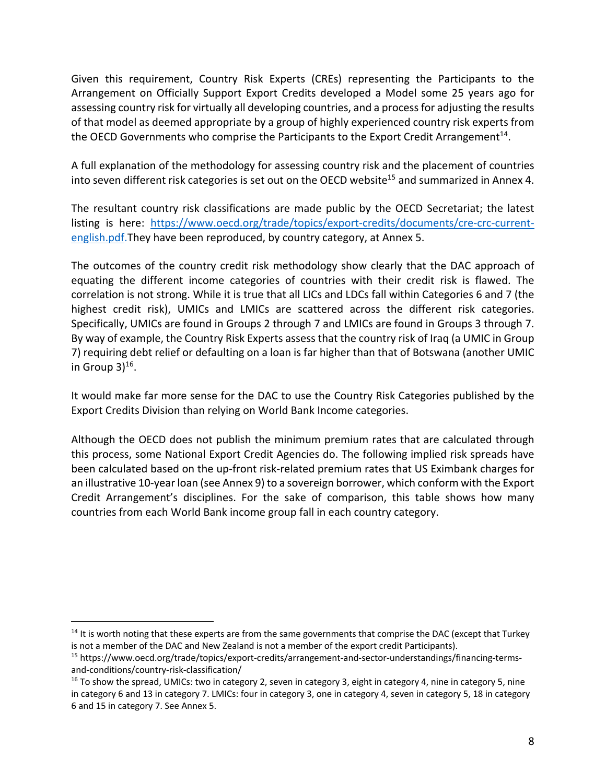Given this requirement, Country Risk Experts (CREs) representing the Participants to the Arrangement on Officially Support Export Credits developed a Model some 25 years ago for assessing country risk for virtually all developing countries, and a process for adjusting the results of that model as deemed appropriate by a group of highly experienced country risk experts from the OECD Governments who comprise the Participants to the Export Credit Arrangement<sup>14</sup>.

A full explanation of the methodology for assessing country risk and the placement of countries into seven different risk categories is set out on the OECD website<sup>15</sup> and summarized in Annex 4.

The resultant country risk classifications are made public by the OECD Secretariat; the latest listing is here: https://www.oecd.org/trade/topics/export-credits/documents/cre-crc-currentenglish.pdf.They have been reproduced, by country category, at Annex 5.

The outcomes of the country credit risk methodology show clearly that the DAC approach of equating the different income categories of countries with their credit risk is flawed. The correlation is not strong. While it is true that all LICs and LDCs fall within Categories 6 and 7 (the highest credit risk), UMICs and LMICs are scattered across the different risk categories. Specifically, UMICs are found in Groups 2 through 7 and LMICs are found in Groups 3 through 7. By way of example, the Country Risk Experts assess that the country risk of Iraq (a UMIC in Group 7) requiring debt relief or defaulting on a loan is far higher than that of Botswana (another UMIC in Group  $3)$ <sup>16</sup>.

It would make far more sense for the DAC to use the Country Risk Categories published by the Export Credits Division than relying on World Bank Income categories.

Although the OECD does not publish the minimum premium rates that are calculated through this process, some National Export Credit Agencies do. The following implied risk spreads have been calculated based on the up-front risk-related premium rates that US Eximbank charges for an illustrative 10-year loan (see Annex 9) to a sovereign borrower, which conform with the Export Credit Arrangement's disciplines. For the sake of comparison, this table shows how many countries from each World Bank income group fall in each country category.

 $14$  It is worth noting that these experts are from the same governments that comprise the DAC (except that Turkey is not a member of the DAC and New Zealand is not a member of the export credit Participants).

<sup>15</sup> https://www.oecd.org/trade/topics/export-credits/arrangement-and-sector-understandings/financing-termsand-conditions/country-risk-classification/

 $16$  To show the spread, UMICs: two in category 2, seven in category 3, eight in category 4, nine in category 5, nine in category 6 and 13 in category 7. LMICs: four in category 3, one in category 4, seven in category 5, 18 in category 6 and 15 in category 7. See Annex 5.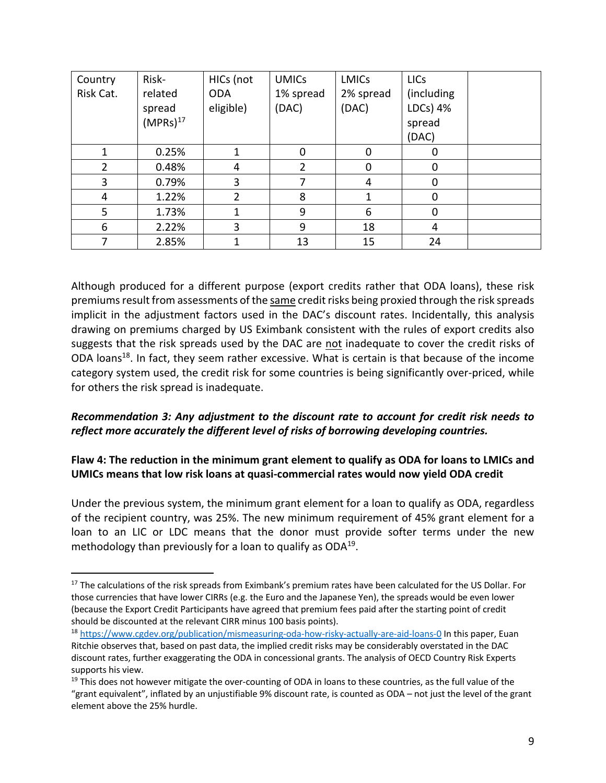| Country        | Risk-         | HICs (not      | <b>UMICs</b> | <b>LMICs</b> | <b>LICs</b> |  |
|----------------|---------------|----------------|--------------|--------------|-------------|--|
| Risk Cat.      | related       | <b>ODA</b>     | 1% spread    | 2% spread    | (including  |  |
|                | spread        | eligible)      | (DAC)        | (DAC)        | LDCs) 4%    |  |
|                | $(MPRs)^{17}$ |                |              |              | spread      |  |
|                |               |                |              |              | (DAC)       |  |
|                | 0.25%         | 1              | $\Omega$     | 0            | 0           |  |
| $\overline{2}$ | 0.48%         | 4              | 2            | 0            | 0           |  |
| 3              | 0.79%         | 3              |              | 4            | 0           |  |
| 4              | 1.22%         | $\overline{2}$ | 8            |              | 0           |  |
| 5              | 1.73%         | 1              | 9            | 6            | 0           |  |
| 6              | 2.22%         | 3              | 9            | 18           | 4           |  |
|                | 2.85%         |                | 13           | 15           | 24          |  |

Although produced for a different purpose (export credits rather that ODA loans), these risk premiums result from assessments of the same credit risks being proxied through the risk spreads implicit in the adjustment factors used in the DAC's discount rates. Incidentally, this analysis drawing on premiums charged by US Eximbank consistent with the rules of export credits also suggests that the risk spreads used by the DAC are not inadequate to cover the credit risks of ODA loans<sup>18</sup>. In fact, they seem rather excessive. What is certain is that because of the income category system used, the credit risk for some countries is being significantly over-priced, while for others the risk spread is inadequate.

#### *Recommendation 3: Any adjustment to the discount rate to account for credit risk needs to reflect more accurately the different level of risks of borrowing developing countries.*

#### **Flaw 4: The reduction in the minimum grant element to qualify as ODA for loans to LMICs and UMICs means that low risk loans at quasi-commercial rates would now yield ODA credit**

Under the previous system, the minimum grant element for a loan to qualify as ODA, regardless of the recipient country, was 25%. The new minimum requirement of 45% grant element for a loan to an LIC or LDC means that the donor must provide softer terms under the new methodology than previously for a loan to qualify as ODA<sup>19</sup>.

<sup>&</sup>lt;sup>17</sup> The calculations of the risk spreads from Eximbank's premium rates have been calculated for the US Dollar. For those currencies that have lower CIRRs (e.g. the Euro and the Japanese Yen), the spreads would be even lower (because the Export Credit Participants have agreed that premium fees paid after the starting point of credit should be discounted at the relevant CIRR minus 100 basis points).

<sup>18</sup> https://www.cgdev.org/publication/mismeasuring-oda-how-risky-actually-are-aid-loans-0 In this paper, Euan Ritchie observes that, based on past data, the implied credit risks may be considerably overstated in the DAC discount rates, further exaggerating the ODA in concessional grants. The analysis of OECD Country Risk Experts supports his view.

 $19$  This does not however mitigate the over-counting of ODA in loans to these countries, as the full value of the "grant equivalent", inflated by an unjustifiable 9% discount rate, is counted as ODA – not just the level of the grant element above the 25% hurdle.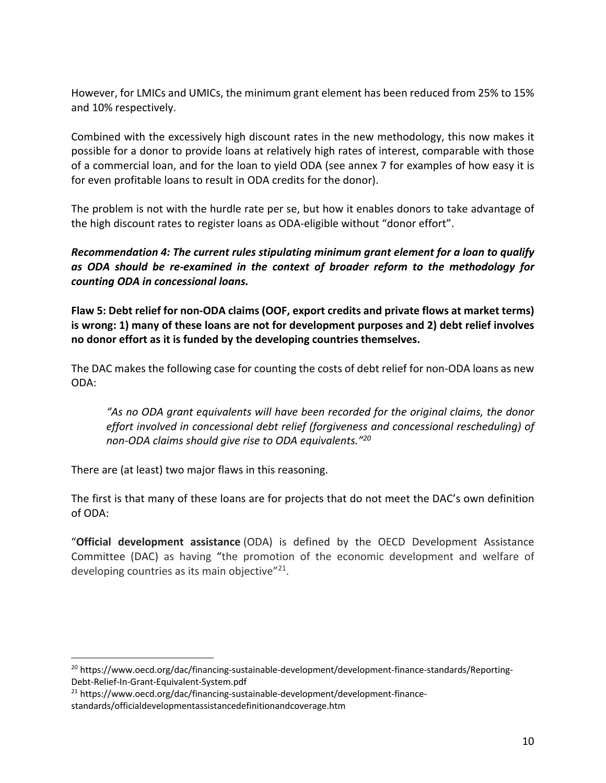However, for LMICs and UMICs, the minimum grant element has been reduced from 25% to 15% and 10% respectively.

Combined with the excessively high discount rates in the new methodology, this now makes it possible for a donor to provide loans at relatively high rates of interest, comparable with those of a commercial loan, and for the loan to yield ODA (see annex 7 for examples of how easy it is for even profitable loans to result in ODA credits for the donor).

The problem is not with the hurdle rate per se, but how it enables donors to take advantage of the high discount rates to register loans as ODA-eligible without "donor effort".

*Recommendation 4: The current rules stipulating minimum grant element for a loan to qualify as ODA should be re-examined in the context of broader reform to the methodology for counting ODA in concessional loans.*

**Flaw 5: Debt relief for non-ODA claims (OOF, export credits and private flows at market terms) is wrong: 1) many of these loans are not for development purposes and 2) debt relief involves no donor effort as it is funded by the developing countries themselves.**

The DAC makes the following case for counting the costs of debt relief for non-ODA loans as new ODA:

*"As no ODA grant equivalents will have been recorded for the original claims, the donor effort involved in concessional debt relief (forgiveness and concessional rescheduling) of non-ODA claims should give rise to ODA equivalents."20*

There are (at least) two major flaws in this reasoning.

The first is that many of these loans are for projects that do not meet the DAC's own definition of ODA:

"**Official development assistance** (ODA) is defined by the OECD Development Assistance Committee (DAC) as having "the promotion of the economic development and welfare of developing countries as its main objective"<sup>21</sup>.

<sup>&</sup>lt;sup>20</sup> https://www.oecd.org/dac/financing-sustainable-development/development-finance-standards/Reporting-Debt-Relief-In-Grant-Equivalent-System.pdf

<sup>21</sup> https://www.oecd.org/dac/financing-sustainable-development/development-financestandards/officialdevelopmentassistancedefinitionandcoverage.htm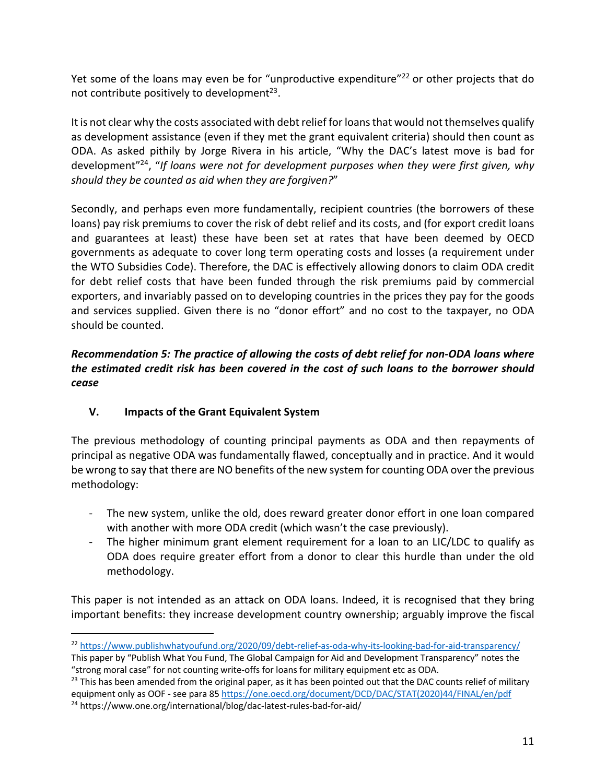Yet some of the loans may even be for "unproductive expenditure"<sup>22</sup> or other projects that do not contribute positively to development $^{23}$ .

It is not clear why the costs associated with debt relief for loans that would not themselves qualify as development assistance (even if they met the grant equivalent criteria) should then count as ODA. As asked pithily by Jorge Rivera in his article, "Why the DAC's latest move is bad for development"24, "*If loans were not for development purposes when they were first given, why should they be counted as aid when they are forgiven?*"

Secondly, and perhaps even more fundamentally, recipient countries (the borrowers of these loans) pay risk premiums to cover the risk of debt relief and its costs, and (for export credit loans and guarantees at least) these have been set at rates that have been deemed by OECD governments as adequate to cover long term operating costs and losses (a requirement under the WTO Subsidies Code). Therefore, the DAC is effectively allowing donors to claim ODA credit for debt relief costs that have been funded through the risk premiums paid by commercial exporters, and invariably passed on to developing countries in the prices they pay for the goods and services supplied. Given there is no "donor effort" and no cost to the taxpayer, no ODA should be counted.

## *Recommendation 5: The practice of allowing the costs of debt relief for non-ODA loans where the estimated credit risk has been covered in the cost of such loans to the borrower should cease*

## **V. Impacts of the Grant Equivalent System**

The previous methodology of counting principal payments as ODA and then repayments of principal as negative ODA was fundamentally flawed, conceptually and in practice. And it would be wrong to say that there are NO benefits of the new system for counting ODA over the previous methodology:

- The new system, unlike the old, does reward greater donor effort in one loan compared with another with more ODA credit (which wasn't the case previously).
- The higher minimum grant element requirement for a loan to an LIC/LDC to qualify as ODA does require greater effort from a donor to clear this hurdle than under the old methodology.

This paper is not intended as an attack on ODA loans. Indeed, it is recognised that they bring important benefits: they increase development country ownership; arguably improve the fiscal

<sup>22</sup> https://www.publishwhatyoufund.org/2020/09/debt-relief-as-oda-why-its-looking-bad-for-aid-transparency/

This paper by "Publish What You Fund, The Global Campaign for Aid and Development Transparency" notes the "strong moral case" for not counting write-offs for loans for military equipment etc as ODA.<br><sup>23</sup> This has been amended from the original paper, as it has been pointed out that the DAC counts relief of military

equipment only as OOF - see para 85 https://one.oecd.org/document/DCD/DAC/STAT(2020)44/FINAL/en/pdf <sup>24</sup> https://www.one.org/international/blog/dac-latest-rules-bad-for-aid/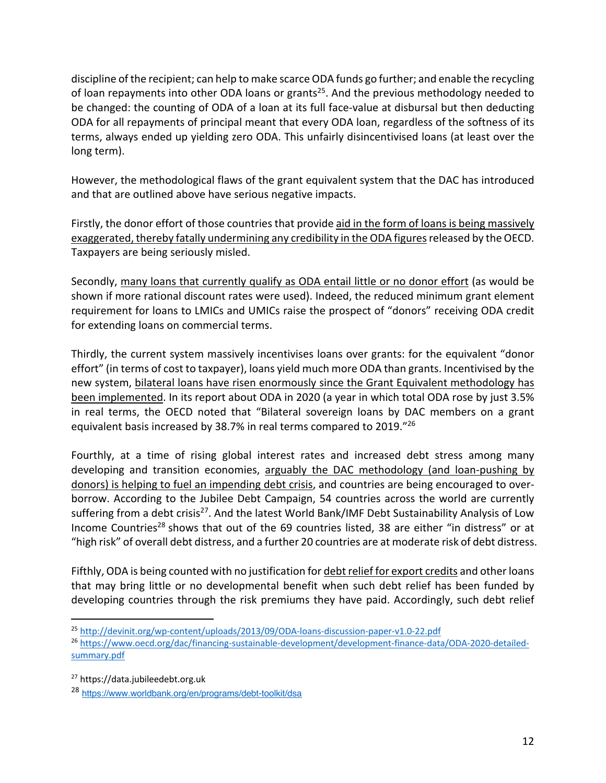discipline of the recipient; can help to make scarce ODA funds go further; and enable the recycling of loan repayments into other ODA loans or grants<sup>25</sup>. And the previous methodology needed to be changed: the counting of ODA of a loan at its full face-value at disbursal but then deducting ODA for all repayments of principal meant that every ODA loan, regardless of the softness of its terms, always ended up yielding zero ODA. This unfairly disincentivised loans (at least over the long term).

However, the methodological flaws of the grant equivalent system that the DAC has introduced and that are outlined above have serious negative impacts.

Firstly, the donor effort of those countries that provide aid in the form of loans is being massively exaggerated, thereby fatally undermining any credibility in the ODA figures released by the OECD. Taxpayers are being seriously misled.

Secondly, many loans that currently qualify as ODA entail little or no donor effort (as would be shown if more rational discount rates were used). Indeed, the reduced minimum grant element requirement for loans to LMICs and UMICs raise the prospect of "donors" receiving ODA credit for extending loans on commercial terms.

Thirdly, the current system massively incentivises loans over grants: for the equivalent "donor effort" (in terms of cost to taxpayer), loans yield much more ODA than grants. Incentivised by the new system, bilateral loans have risen enormously since the Grant Equivalent methodology has been implemented. In its report about ODA in 2020 (a year in which total ODA rose by just 3.5% in real terms, the OECD noted that "Bilateral sovereign loans by DAC members on a grant equivalent basis increased by 38.7% in real terms compared to 2019."26

Fourthly, at a time of rising global interest rates and increased debt stress among many developing and transition economies, arguably the DAC methodology (and loan-pushing by donors) is helping to fuel an impending debt crisis, and countries are being encouraged to overborrow. According to the Jubilee Debt Campaign, 54 countries across the world are currently suffering from a debt crisis<sup>27</sup>. And the latest World Bank/IMF Debt Sustainability Analysis of Low Income Countries<sup>28</sup> shows that out of the 69 countries listed, 38 are either "in distress" or at "high risk" of overall debt distress, and a further 20 countries are at moderate risk of debt distress.

Fifthly, ODA is being counted with no justification for debt relief for export credits and other loans that may bring little or no developmental benefit when such debt relief has been funded by developing countries through the risk premiums they have paid. Accordingly, such debt relief

<sup>25</sup> http://devinit.org/wp-content/uploads/2013/09/ODA-loans-discussion-paper-v1.0-22.pdf

<sup>26</sup> https://www.oecd.org/dac/financing-sustainable-development/development-finance-data/ODA-2020-detailedsummary.pdf

<sup>27</sup> https://data.jubileedebt.org.uk

<sup>28</sup> https://www.worldbank.org/en/programs/debt-toolkit/dsa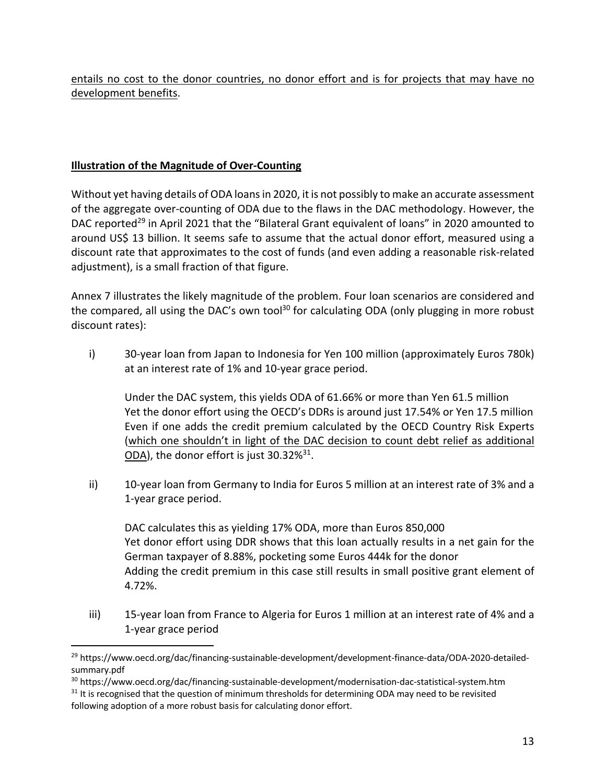entails no cost to the donor countries, no donor effort and is for projects that may have no development benefits.

#### **Illustration of the Magnitude of Over-Counting**

Without yet having details of ODA loans in 2020, it is not possibly to make an accurate assessment of the aggregate over-counting of ODA due to the flaws in the DAC methodology. However, the DAC reported<sup>29</sup> in April 2021 that the "Bilateral Grant equivalent of loans" in 2020 amounted to around US\$ 13 billion. It seems safe to assume that the actual donor effort, measured using a discount rate that approximates to the cost of funds (and even adding a reasonable risk-related adjustment), is a small fraction of that figure.

Annex 7 illustrates the likely magnitude of the problem. Four loan scenarios are considered and the compared, all using the DAC's own tool<sup>30</sup> for calculating ODA (only plugging in more robust discount rates):

i) 30-year loan from Japan to Indonesia for Yen 100 million (approximately Euros 780k) at an interest rate of 1% and 10-year grace period.

Under the DAC system, this yields ODA of 61.66% or more than Yen 61.5 million Yet the donor effort using the OECD's DDRs is around just 17.54% or Yen 17.5 million Even if one adds the credit premium calculated by the OECD Country Risk Experts (which one shouldn't in light of the DAC decision to count debt relief as additional ODA), the donor effort is just 30.32%<sup>31</sup>.

ii) 10-year loan from Germany to India for Euros 5 million at an interest rate of 3% and a 1-year grace period.

DAC calculates this as yielding 17% ODA, more than Euros 850,000 Yet donor effort using DDR shows that this loan actually results in a net gain for the German taxpayer of 8.88%, pocketing some Euros 444k for the donor Adding the credit premium in this case still results in small positive grant element of 4.72%.

iii) 15-year loan from France to Algeria for Euros 1 million at an interest rate of 4% and a 1-year grace period

<sup>&</sup>lt;sup>29</sup> https://www.oecd.org/dac/financing-sustainable-development/development-finance-data/ODA-2020-detailedsummary.pdf

<sup>&</sup>lt;sup>30</sup> https://www.oecd.org/dac/financing-sustainable-development/modernisation-dac-statistical-system.htm <sup>31</sup> It is recognised that the question of minimum thresholds for determining ODA may need to be revisited following adoption of a more robust basis for calculating donor effort.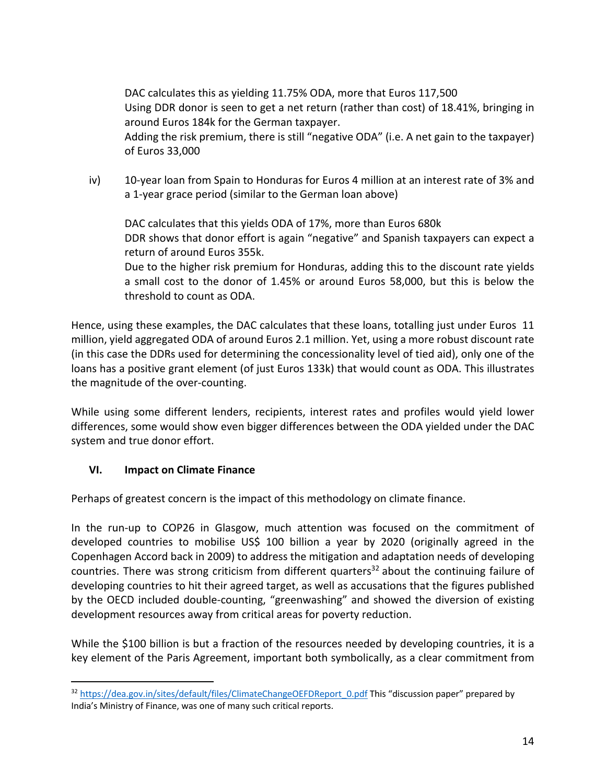DAC calculates this as yielding 11.75% ODA, more that Euros 117,500 Using DDR donor is seen to get a net return (rather than cost) of 18.41%, bringing in around Euros 184k for the German taxpayer. Adding the risk premium, there is still "negative ODA" (i.e. A net gain to the taxpayer) of Euros 33,000

iv) 10-year loan from Spain to Honduras for Euros 4 million at an interest rate of 3% and a 1-year grace period (similar to the German loan above)

DAC calculates that this yields ODA of 17%, more than Euros 680k DDR shows that donor effort is again "negative" and Spanish taxpayers can expect a return of around Euros 355k. Due to the higher risk premium for Honduras, adding this to the discount rate yields

a small cost to the donor of 1.45% or around Euros 58,000, but this is below the threshold to count as ODA.

Hence, using these examples, the DAC calculates that these loans, totalling just under Euros 11 million, yield aggregated ODA of around Euros 2.1 million. Yet, using a more robust discount rate (in this case the DDRs used for determining the concessionality level of tied aid), only one of the loans has a positive grant element (of just Euros 133k) that would count as ODA. This illustrates the magnitude of the over-counting.

While using some different lenders, recipients, interest rates and profiles would yield lower differences, some would show even bigger differences between the ODA yielded under the DAC system and true donor effort.

## **VI. Impact on Climate Finance**

Perhaps of greatest concern is the impact of this methodology on climate finance.

In the run-up to COP26 in Glasgow, much attention was focused on the commitment of developed countries to mobilise US\$ 100 billion a year by 2020 (originally agreed in the Copenhagen Accord back in 2009) to address the mitigation and adaptation needs of developing countries. There was strong criticism from different quarters<sup>32</sup> about the continuing failure of developing countries to hit their agreed target, as well as accusations that the figures published by the OECD included double-counting, "greenwashing" and showed the diversion of existing development resources away from critical areas for poverty reduction.

While the \$100 billion is but a fraction of the resources needed by developing countries, it is a key element of the Paris Agreement, important both symbolically, as a clear commitment from

<sup>32</sup> https://dea.gov.in/sites/default/files/ClimateChangeOEFDReport\_0.pdf This "discussion paper" prepared by India's Ministry of Finance, was one of many such critical reports.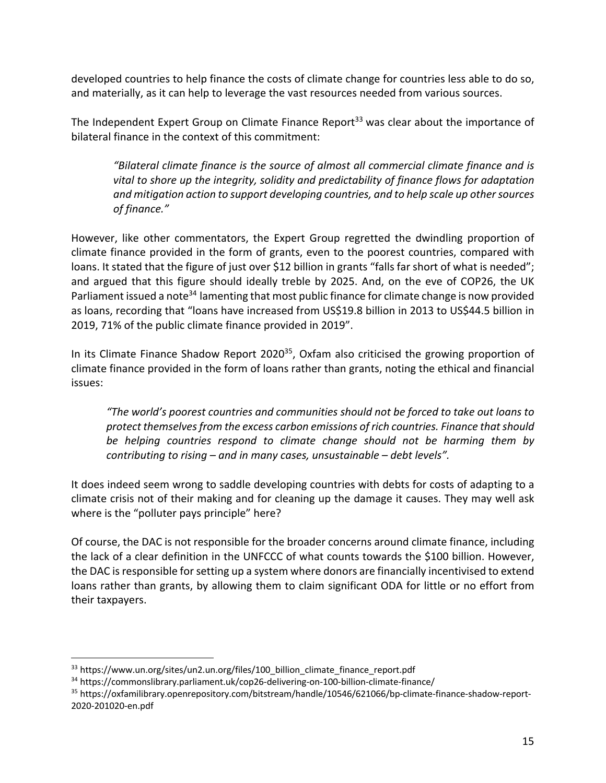developed countries to help finance the costs of climate change for countries less able to do so, and materially, as it can help to leverage the vast resources needed from various sources.

The Independent Expert Group on Climate Finance Report<sup>33</sup> was clear about the importance of bilateral finance in the context of this commitment:

*"Bilateral climate finance is the source of almost all commercial climate finance and is vital to shore up the integrity, solidity and predictability of finance flows for adaptation and mitigation action to support developing countries, and to help scale up other sources of finance."*

However, like other commentators, the Expert Group regretted the dwindling proportion of climate finance provided in the form of grants, even to the poorest countries, compared with loans. It stated that the figure of just over \$12 billion in grants "falls far short of what is needed"; and argued that this figure should ideally treble by 2025. And, on the eve of COP26, the UK Parliament issued a note<sup>34</sup> lamenting that most public finance for climate change is now provided as loans, recording that "loans have increased from US\$19.8 billion in 2013 to US\$44.5 billion in 2019, 71% of the public climate finance provided in 2019".

In its Climate Finance Shadow Report 2020<sup>35</sup>, Oxfam also criticised the growing proportion of climate finance provided in the form of loans rather than grants, noting the ethical and financial issues:

*"The world's poorest countries and communities should not be forced to take out loans to protect themselves from the excess carbon emissions of rich countries. Finance that should be helping countries respond to climate change should not be harming them by contributing to rising – and in many cases, unsustainable – debt levels".*

It does indeed seem wrong to saddle developing countries with debts for costs of adapting to a climate crisis not of their making and for cleaning up the damage it causes. They may well ask where is the "polluter pays principle" here?

Of course, the DAC is not responsible for the broader concerns around climate finance, including the lack of a clear definition in the UNFCCC of what counts towards the \$100 billion. However, the DAC is responsible for setting up a system where donors are financially incentivised to extend loans rather than grants, by allowing them to claim significant ODA for little or no effort from their taxpayers.

<sup>33</sup> https://www.un.org/sites/un2.un.org/files/100 billion climate finance report.pdf

<sup>34</sup> https://commonslibrary.parliament.uk/cop26-delivering-on-100-billion-climate-finance/

<sup>35</sup> https://oxfamilibrary.openrepository.com/bitstream/handle/10546/621066/bp-climate-finance-shadow-report-2020-201020-en.pdf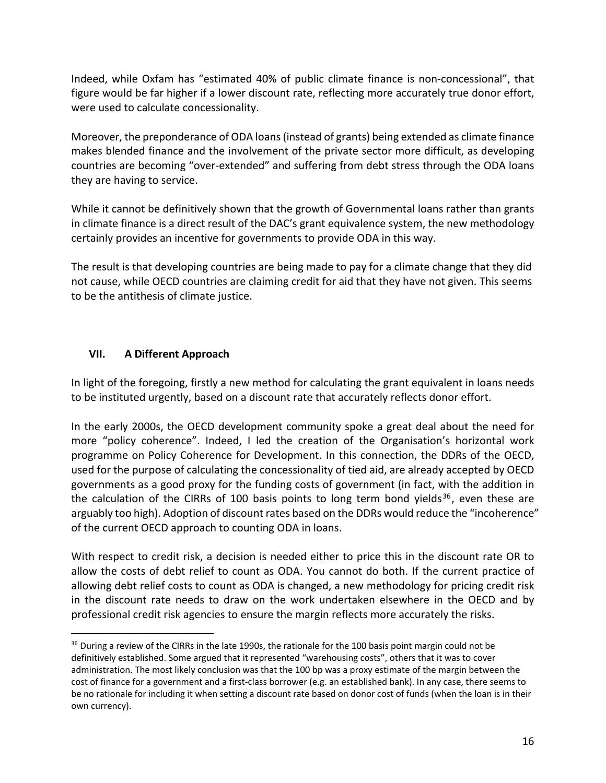Indeed, while Oxfam has "estimated 40% of public climate finance is non-concessional", that figure would be far higher if a lower discount rate, reflecting more accurately true donor effort, were used to calculate concessionality.

Moreover, the preponderance of ODA loans (instead of grants) being extended as climate finance makes blended finance and the involvement of the private sector more difficult, as developing countries are becoming "over-extended" and suffering from debt stress through the ODA loans they are having to service.

While it cannot be definitively shown that the growth of Governmental loans rather than grants in climate finance is a direct result of the DAC's grant equivalence system, the new methodology certainly provides an incentive for governments to provide ODA in this way.

The result is that developing countries are being made to pay for a climate change that they did not cause, while OECD countries are claiming credit for aid that they have not given. This seems to be the antithesis of climate justice.

#### **VII. A Different Approach**

In light of the foregoing, firstly a new method for calculating the grant equivalent in loans needs to be instituted urgently, based on a discount rate that accurately reflects donor effort.

In the early 2000s, the OECD development community spoke a great deal about the need for more "policy coherence". Indeed, I led the creation of the Organisation's horizontal work programme on Policy Coherence for Development. In this connection, the DDRs of the OECD, used for the purpose of calculating the concessionality of tied aid, are already accepted by OECD governments as a good proxy for the funding costs of government (in fact, with the addition in the calculation of the CIRRs of 100 basis points to long term bond yields<sup>36</sup>, even these are arguably too high). Adoption of discount rates based on the DDRs would reduce the "incoherence" of the current OECD approach to counting ODA in loans.

With respect to credit risk, a decision is needed either to price this in the discount rate OR to allow the costs of debt relief to count as ODA. You cannot do both. If the current practice of allowing debt relief costs to count as ODA is changed, a new methodology for pricing credit risk in the discount rate needs to draw on the work undertaken elsewhere in the OECD and by professional credit risk agencies to ensure the margin reflects more accurately the risks.

<sup>&</sup>lt;sup>36</sup> During a review of the CIRRs in the late 1990s, the rationale for the 100 basis point margin could not be definitively established. Some argued that it represented "warehousing costs", others that it was to cover administration. The most likely conclusion was that the 100 bp was a proxy estimate of the margin between the cost of finance for a government and a first-class borrower (e.g. an established bank). In any case, there seems to be no rationale for including it when setting a discount rate based on donor cost of funds (when the loan is in their own currency).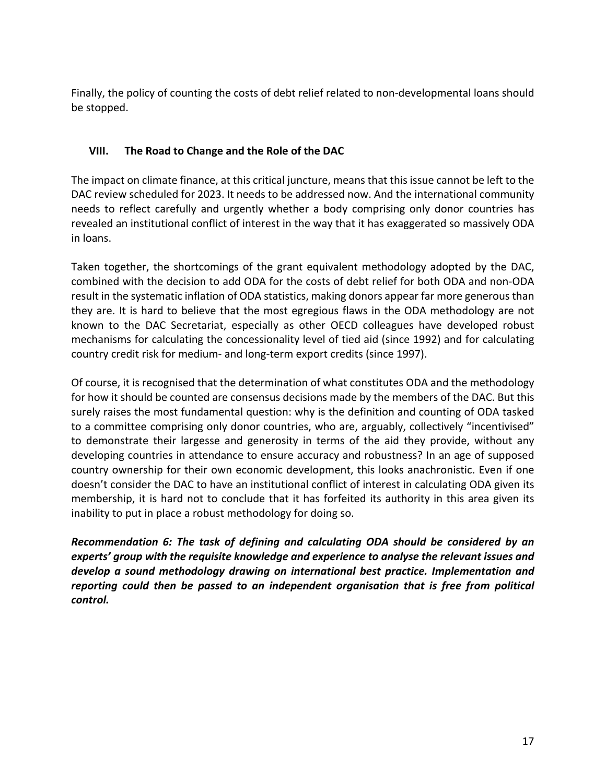Finally, the policy of counting the costs of debt relief related to non-developmental loans should be stopped.

#### **VIII. The Road to Change and the Role of the DAC**

The impact on climate finance, at this critical juncture, means that this issue cannot be left to the DAC review scheduled for 2023. It needs to be addressed now. And the international community needs to reflect carefully and urgently whether a body comprising only donor countries has revealed an institutional conflict of interest in the way that it has exaggerated so massively ODA in loans.

Taken together, the shortcomings of the grant equivalent methodology adopted by the DAC, combined with the decision to add ODA for the costs of debt relief for both ODA and non-ODA result in the systematic inflation of ODA statistics, making donors appear far more generous than they are. It is hard to believe that the most egregious flaws in the ODA methodology are not known to the DAC Secretariat, especially as other OECD colleagues have developed robust mechanisms for calculating the concessionality level of tied aid (since 1992) and for calculating country credit risk for medium- and long-term export credits (since 1997).

Of course, it is recognised that the determination of what constitutes ODA and the methodology for how it should be counted are consensus decisions made by the members of the DAC. But this surely raises the most fundamental question: why is the definition and counting of ODA tasked to a committee comprising only donor countries, who are, arguably, collectively "incentivised" to demonstrate their largesse and generosity in terms of the aid they provide, without any developing countries in attendance to ensure accuracy and robustness? In an age of supposed country ownership for their own economic development, this looks anachronistic. Even if one doesn't consider the DAC to have an institutional conflict of interest in calculating ODA given its membership, it is hard not to conclude that it has forfeited its authority in this area given its inability to put in place a robust methodology for doing so.

*Recommendation 6: The task of defining and calculating ODA should be considered by an experts' group with the requisite knowledge and experience to analyse the relevant issues and develop a sound methodology drawing on international best practice. Implementation and reporting could then be passed to an independent organisation that is free from political control.*